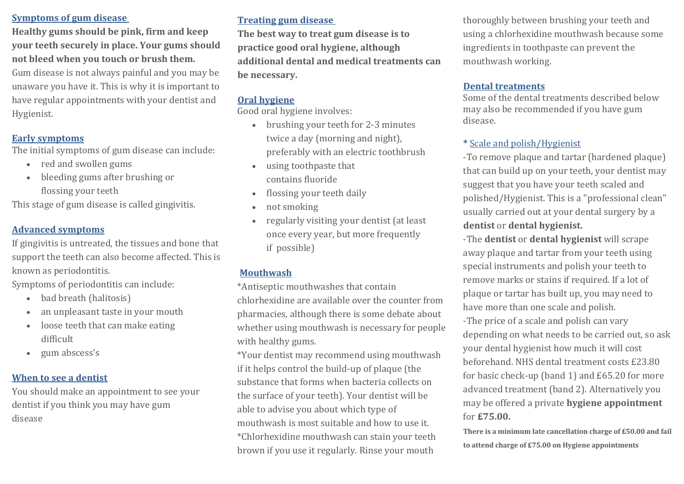## **Symptoms of gum disease**

**Healthy gums should be pink, firm and keep your teeth securely in place. Your gums should** not bleed when you touch or brush them.

Gum disease is not always painful and you may be unaware you have it. This is why it is important to have regular appointments with your dentist and Hygienist.

# **Early symptoms**

The initial symptoms of gum disease can include:

- red and swollen gums
- bleeding gums after brushing or flossing your teeth

This stage of gum disease is called gingivitis.

## **Advanced symptoms**

If gingivitis is untreated, the tissues and bone that support the teeth can also become affected. This is known as periodontitis.

Symptoms of periodontitis can include:

- bad breath (halitosis)
- an unpleasant taste in your mouth
- loose teeth that can make eating difficult
- gum abscess's

## **When to see a dentist**

You should make an appointment to see your dentist if you think you may have gum disease 

# **Treating gum disease**

The best way to treat gum disease is to practice good oral hygiene, although additional dental and medical treatments can be necessary.

# **Oral hygiene**

Good oral hygiene involves:

- brushing your teeth for 2-3 minutes twice a day (morning and night), preferably with an electric toothbrush
- using toothpaste that contains fluoride
- flossing your teeth daily
- not smoking
- regularly visiting your dentist (at least once every year, but more frequently if possible)

# **Mouthwash**

\*Antiseptic mouthwashes that contain chlorhexidine are available over the counter from pharmacies, although there is some debate about whether using mouthwash is necessary for people with healthy gums.

\*Your dentist may recommend using mouthwash if it helps control the build-up of plaque (the substance that forms when bacteria collects on the surface of your teeth). Your dentist will be able to advise you about which type of mouthwash is most suitable and how to use it. \*Chlorhexidine mouthwash can stain your teeth brown if you use it regularly. Rinse your mouth

thoroughly between brushing your teeth and using a chlorhexidine mouthwash because some ingredients in toothpaste can prevent the mouthwash working.

## **Dental treatments**

Some of the dental treatments described below may also be recommended if you have gum disease.

## **\*** Scale and polish/Hygienist

-To remove plaque and tartar (hardened plaque) that can build up on your teeth, your dentist may suggest that you have your teeth scaled and polished/Hygienist. This is a "professional clean" usually carried out at your dental surgery by a dentist or dental hygienist.

-The **dentist** or **dental hygienist** will scrape away plaque and tartar from your teeth using special instruments and polish your teeth to remove marks or stains if required. If a lot of plaque or tartar has built up, you may need to have more than one scale and polish. -The price of a scale and polish can vary depending on what needs to be carried out, so ask your dental hygienist how much it will cost beforehand. NHS dental treatment costs £23.80 for basic check-up (band 1) and  $£65.20$  for more advanced treatment (band 2). Alternatively you may be offered a private **hygiene appointment** for **£75.00.**

**There is a minimum late cancellation charge of £50.00 and fail** to attend charge of £75.00 on Hygiene appointments